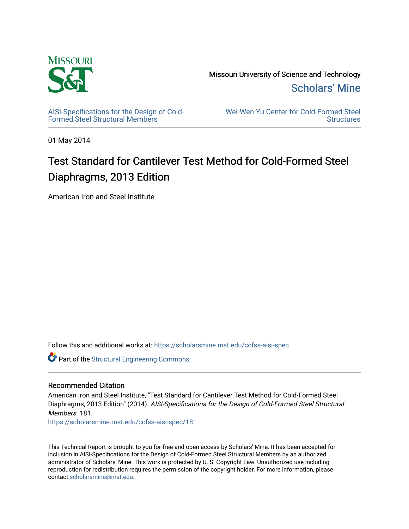

[AISI-Specifications for the Design of Cold-](https://scholarsmine.mst.edu/ccfss-aisi-spec)[Formed Steel Structural Members](https://scholarsmine.mst.edu/ccfss-aisi-spec)

[Wei-Wen Yu Center for Cold-Formed Steel](https://scholarsmine.mst.edu/ccfss)  **Structures** 

01 May 2014

# Test Standard for Cantilever Test Method for Cold-Formed Steel Diaphragms, 2013 Edition

American Iron and Steel Institute

Follow this and additional works at: [https://scholarsmine.mst.edu/ccfss-aisi-spec](https://scholarsmine.mst.edu/ccfss-aisi-spec?utm_source=scholarsmine.mst.edu%2Fccfss-aisi-spec%2F181&utm_medium=PDF&utm_campaign=PDFCoverPages) 

**Part of the Structural Engineering Commons** 

# Recommended Citation

American Iron and Steel Institute, "Test Standard for Cantilever Test Method for Cold-Formed Steel Diaphragms, 2013 Edition" (2014). AISI-Specifications for the Design of Cold-Formed Steel Structural Members. 181.

[https://scholarsmine.mst.edu/ccfss-aisi-spec/181](https://scholarsmine.mst.edu/ccfss-aisi-spec/181?utm_source=scholarsmine.mst.edu%2Fccfss-aisi-spec%2F181&utm_medium=PDF&utm_campaign=PDFCoverPages) 

This Technical Report is brought to you for free and open access by Scholars' Mine. It has been accepted for inclusion in AISI-Specifications for the Design of Cold-Formed Steel Structural Members by an authorized administrator of Scholars' Mine. This work is protected by U. S. Copyright Law. Unauthorized use including reproduction for redistribution requires the permission of the copyright holder. For more information, please contact [scholarsmine@mst.edu](mailto:scholarsmine@mst.edu).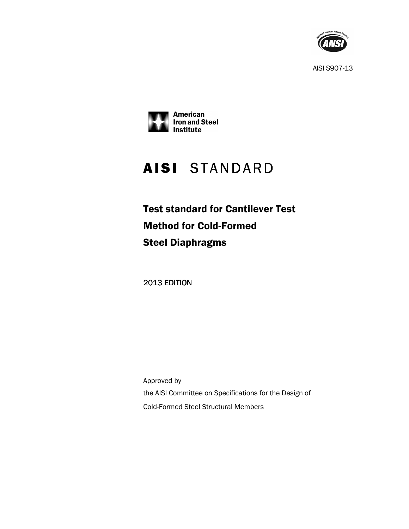

AISI S907-13



# AISI STANDARD

# Test standard for Cantilever Test Method for Cold-Formed Steel Diaphragms

2013 EDITION

Approved by the AISI Committee on Specifications for the Design of Cold-Formed Steel Structural Members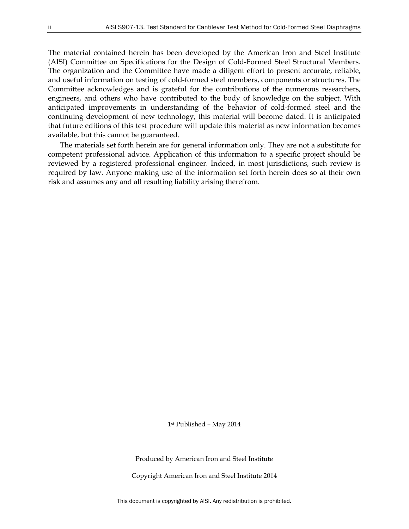The material contained herein has been developed by the American Iron and Steel Institute (AISI) Committee on Specifications for the Design of Cold-Formed Steel Structural Members. The organization and the Committee have made a diligent effort to present accurate, reliable, and useful information on testing of cold-formed steel members, components or structures. The Committee acknowledges and is grateful for the contributions of the numerous researchers, engineers, and others who have contributed to the body of knowledge on the subject. With anticipated improvements in understanding of the behavior of cold-formed steel and the continuing development of new technology, this material will become dated. It is anticipated that future editions of this test procedure will update this material as new information becomes available, but this cannot be guaranteed.

The materials set forth herein are for general information only. They are not a substitute for competent professional advice. Application of this information to a specific project should be reviewed by a registered professional engineer. Indeed, in most jurisdictions, such review is required by law. Anyone making use of the information set forth herein does so at their own risk and assumes any and all resulting liability arising therefrom.

1 st Published – May 2014

Produced by American Iron and Steel Institute

Copyright American Iron and Steel Institute 2014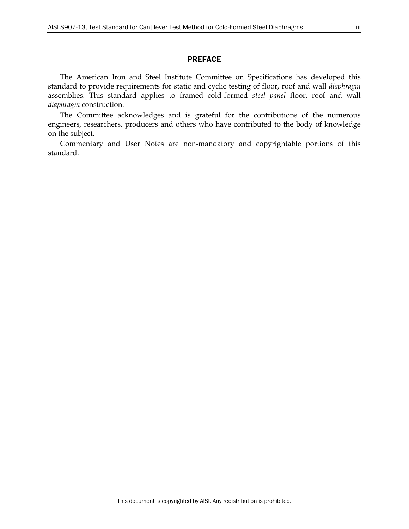# PREFACE

The American Iron and Steel Institute Committee on Specifications has developed this standard to provide requirements for static and cyclic testing of floor, roof and wall *diaphragm* assemblies. This standard applies to framed cold-formed *steel panel* floor, roof and wall *diaphragm* construction.

The Committee acknowledges and is grateful for the contributions of the numerous engineers, researchers, producers and others who have contributed to the body of knowledge on the subject.

Commentary and User Notes are non-mandatory and copyrightable portions of this standard.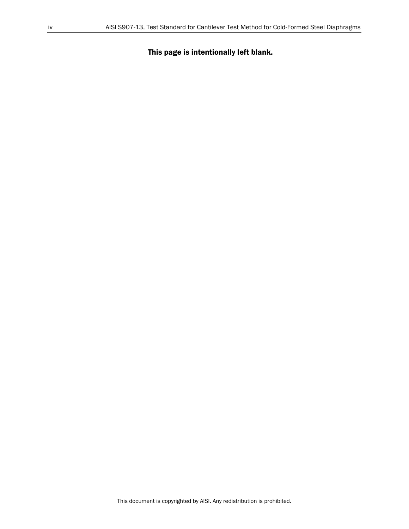# This page is intentionally left blank.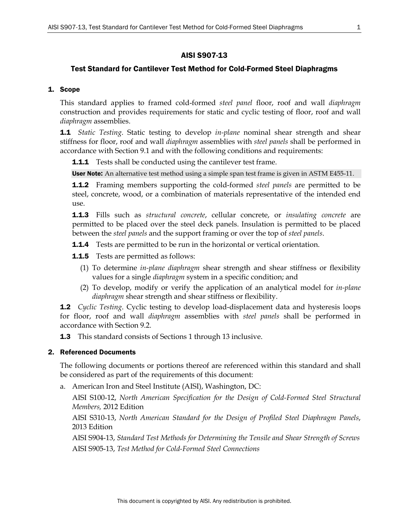# Test Standard for Cantilever Test Method for Cold-Formed Steel Diaphragms

# 1. Scope

This standard applies to framed cold-formed *steel panel* floor, roof and wall *diaphragm* construction and provides requirements for static and cyclic testing of floor, roof and wall *diaphragm* assemblies.

1.1 *Static Testing*. Static testing to develop *in-plane* nominal shear strength and shear stiffness for floor, roof and wall *diaphragm* assemblies with *steel panels* shall be performed in accordance with Section 9.1 and with the following conditions and requirements:

**1.1.1** Tests shall be conducted using the cantilever test frame.

User Note: An alternative test method using a simple span test frame is given in ASTM E455-11.

1.1.2 Framing members supporting the cold-formed *steel panels* are permitted to be steel, concrete, wood, or a combination of materials representative of the intended end use.

1.1.3 Fills such as *structural concrete*, cellular concrete, or *insulating concrete* are permitted to be placed over the steel deck panels. Insulation is permitted to be placed between the *steel panels* and the support framing or over the top of *steel panels*.

**1.1.4** Tests are permitted to be run in the horizontal or vertical orientation.

**1.1.5** Tests are permitted as follows:

- (1) To determine *in-plane diaphragm* shear strength and shear stiffness or flexibility values for a single *diaphragm* system in a specific condition; and
- (2) To develop, modify or verify the application of an analytical model for *in-plane diaphragm* shear strength and shear stiffness or flexibility.

1.2 *Cyclic Testing*. Cyclic testing to develop load-displacement data and hysteresis loops for floor, roof and wall *diaphragm* assemblies with *steel panels* shall be performed in accordance with Section 9.2.

**1.3** This standard consists of Sections 1 through 13 inclusive.

# 2. Referenced Documents

The following documents or portions thereof are referenced within this standard and shall be considered as part of the requirements of this document:

a. American Iron and Steel Institute (AISI), Washington, DC:

 AISI S100-12, *North American Specification for the Design of Cold-Formed Steel Structural Members,* 2012 Edition

 AISI S310-13, *North American Standard for the Design of Profiled Steel Diaphragm Panels*, 2013 Edition

 AISI S904-13, *Standard Test Methods for Determining the Tensile and Shear Strength of Screws* AISI S905-13, *Test Method for Cold-Formed Steel Connections*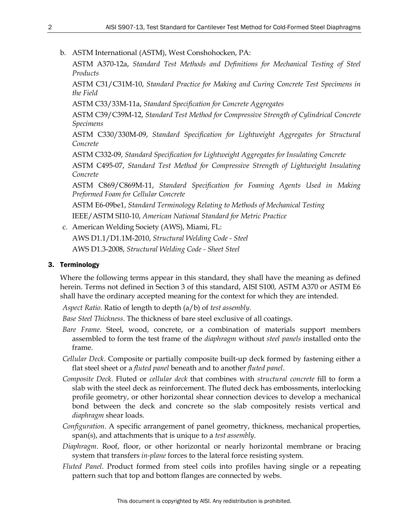b. ASTM International (ASTM), West Conshohocken, PA:

 ASTM A370-12a, *Standard Test Methods and Definitions for Mechanical Testing of Steel Products*

 ASTM C31/C31M-10, *Standard Practice for Making and Curing Concrete Test Specimens in the Field*

ASTM C33/33M-11a, *Standard Specification for Concrete Aggregates*

 ASTM C39/C39M-12, *Standard Test Method for Compressive Strength of Cylindrical Concrete Specimens*

 ASTM C330/330M-09, *Standard Specification for Lightweight Aggregates for Structural Concrete*

ASTM C332-09, *Standard Specification for Lightweight Aggregates for Insulating Concrete*

 ASTM C495-07, *Standard Test Method for Compressive Strength of Lightweight Insulating Concrete* 

ASTM C869/C869M-11, *Standard Specification for Foaming Agents Used in Making Preformed Foam for Cellular Concrete*

 ASTM E6-09be1, *Standard Terminology Relating to Methods of Mechanical Testing* IEEE/ASTM SI10-10, *American National Standard for Metric Practice*

c. American Welding Society (AWS), Miami, FL: AWS D1.1/D1.1M-2010, *Structural Welding Code - Steel* AWS D1.3-2008, *Structural Welding Code - Sheet Steel*

# 3. Terminology

Where the following terms appear in this standard, they shall have the meaning as defined herein. Terms not defined in Section 3 of this standard, AISI S100, ASTM A370 or ASTM E6 shall have the ordinary accepted meaning for the context for which they are intended.

*Aspect Ratio.* Ratio of length to depth (a/b) of *test assembly*.

*Base Steel Thickness*. The thickness of bare steel exclusive of all coatings.

- *Bare Frame*. Steel, wood, concrete, or a combination of materials support members assembled to form the test frame of the *diaphragm* without *steel panels* installed onto the frame.
- *Cellular Deck*. Composite or partially composite built-up deck formed by fastening either a flat steel sheet or a *fluted panel* beneath and to another *fluted panel*.
- *Composite Deck*. Fluted or *cellular deck* that combines with *structural concrete* fill to form a slab with the steel deck as reinforcement. The fluted deck has embossments, interlocking profile geometry, or other horizontal shear connection devices to develop a mechanical bond between the deck and concrete so the slab compositely resists vertical and *diaphragm* shear loads.
- *Configuration*. A specific arrangement of panel geometry, thickness, mechanical properties, span(s), and attachments that is unique to a *test assembly*.
- *Diaphragm*. Roof, floor, or other horizontal or nearly horizontal membrane or bracing system that transfers *in-plane* forces to the lateral force resisting system.
- *Fluted Panel*. Product formed from steel coils into profiles having single or a repeating pattern such that top and bottom flanges are connected by webs.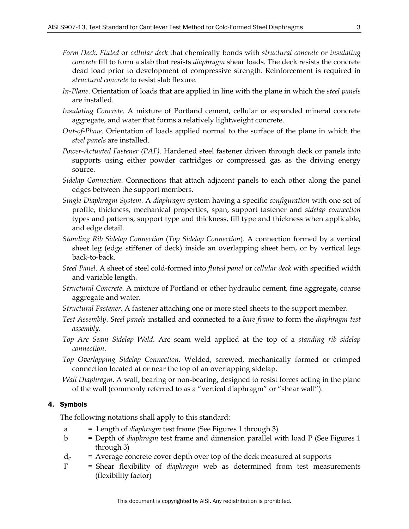- *Form Deck*. *Fluted* or *cellular deck* that chemically bonds with *structural concrete* or *insulating concrete* fill to form a slab that resists *diaphragm* shear loads. The deck resists the concrete dead load prior to development of compressive strength. Reinforcement is required in *structural concrete* to resist slab flexure.
- *In-Plane*. Orientation of loads that are applied in line with the plane in which the *steel panels* are installed.
- *Insulating Concrete*. A mixture of Portland cement, cellular or expanded mineral concrete aggregate, and water that forms a relatively lightweight concrete.
- *Out-of-Plane*. Orientation of loads applied normal to the surface of the plane in which the *steel panels* are installed.
- *Power-Actuated Fastener (PAF)*. Hardened steel fastener driven through deck or panels into supports using either powder cartridges or compressed gas as the driving energy source.
- *Sidelap Connection*. Connections that attach adjacent panels to each other along the panel edges between the support members.
- *Single Diaphragm System*. A *diaphragm* system having a specific *configuration* with one set of profile, thickness, mechanical properties, span, support fastener and *sidelap connection* types and patterns, support type and thickness, fill type and thickness when applicable, and edge detail.
- *Standing Rib Sidelap Connection* (*Top Sidelap Connection*). A connection formed by a vertical sheet leg (edge stiffener of deck) inside an overlapping sheet hem, or by vertical legs back-to-back.
- *Steel Panel*. A sheet of steel cold-formed into *fluted panel* or *cellular deck* with specified width and variable length.
- *Structural Concrete*. A mixture of Portland or other hydraulic cement, fine aggregate, coarse aggregate and water.
- *Structural Fastener*. A fastener attaching one or more steel sheets to the support member.
- *Test Assembly*. *Steel panels* installed and connected to a *bare frame* to form the *diaphragm test assembly*.
- *Top Arc Seam Sidelap Weld*. Arc seam weld applied at the top of a *standing rib sidelap connection*.
- *Top Overlapping Sidelap Connection*. Welded, screwed, mechanically formed or crimped connection located at or near the top of an overlapping sidelap.
- *Wall Diaphragm*. A wall, bearing or non-bearing, designed to resist forces acting in the plane of the wall (commonly referred to as a "vertical diaphragm" or "shear wall").

### 4. Symbols

The following notations shall apply to this standard:

- a = Length of *diaphragm* test frame (See Figures 1 through 3)
- b = Depth of *diaphragm* test frame and dimension parallel with load P (See Figures 1 through 3)
- $d_c$ = Average concrete cover depth over top of the deck measured at supports
- F = Shear flexibility of *diaphragm* web as determined from test measurements (flexibility factor)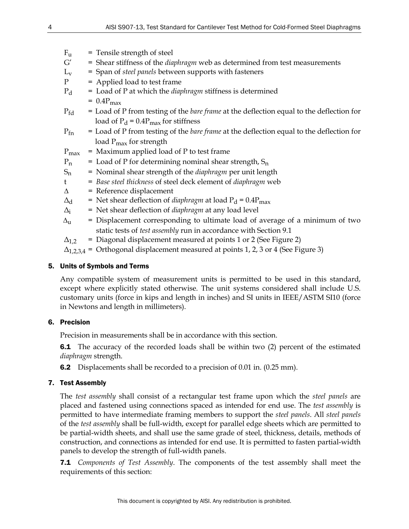| $F_{u}$               | = Tensile strength of steel                                                                     |
|-----------------------|-------------------------------------------------------------------------------------------------|
| G'                    | = Shear stiffness of the <i>diaphragm</i> web as determined from test measurements              |
| $L_{\rm v}$           | = Span of <i>steel panels</i> between supports with fasteners                                   |
| $\mathbf{P}$          | = Applied load to test frame                                                                    |
| $P_d$                 | = Load of P at which the <i>diaphragm</i> stiffness is determined                               |
|                       | $= 0.4P_{\text{max}}$                                                                           |
| $P_{\rm fd}$          | = Load of P from testing of the <i>bare frame</i> at the deflection equal to the deflection for |
|                       | load of $P_d = 0.4P_{max}$ for stiffness                                                        |
| $P_{fn}$              | = Load of P from testing of the <i>bare frame</i> at the deflection equal to the deflection for |
|                       | load $P_{\text{max}}$ for strength                                                              |
| $P_{\text{max}}$      | $=$ Maximum applied load of P to test frame                                                     |
| $P_n$                 | = Load of P for determining nominal shear strength, $S_n$                                       |
| $S_n$                 | = Nominal shear strength of the <i>diaphragm</i> per unit length                                |
| t.                    | = Base steel thickness of steel deck element of diaphragm web                                   |
| Δ                     | = Reference displacement                                                                        |
| $\Delta_d$            | = Net shear deflection of <i>diaphragm</i> at load $P_d = 0.4P_{max}$                           |
| $\Delta_{\rm i}$      | = Net shear deflection of <i>diaphragm</i> at any load level                                    |
| $\Delta_{\mathbf{u}}$ | = Displacement corresponding to ultimate load of average of a minimum of two                    |
|                       | static tests of test assembly run in accordance with Section 9.1                                |
| $\Delta_{1,2}$        | = Diagonal displacement measured at points 1 or 2 (See Figure 2)                                |

 $\Delta_{1,2,3,4}$  = Orthogonal displacement measured at points 1, 2, 3 or 4 (See Figure 3)

# 5. Units of Symbols and Terms

Any compatible system of measurement units is permitted to be used in this standard, except where explicitly stated otherwise. The unit systems considered shall include U.S. customary units (force in kips and length in inches) and SI units in IEEE/ASTM SI10 (force in Newtons and length in millimeters).

# 6. Precision

Precision in measurements shall be in accordance with this section.

**6.1** The accuracy of the recorded loads shall be within two (2) percent of the estimated *diaphragm* strength.

**6.2** Displacements shall be recorded to a precision of 0.01 in. (0.25 mm).

# 7. Test Assembly

The *test assembly* shall consist of a rectangular test frame upon which the *steel panels* are placed and fastened using connections spaced as intended for end use. The *test assembly* is permitted to have intermediate framing members to support the *steel panels*. All *steel panels* of the *test assembly* shall be full-width, except for parallel edge sheets which are permitted to be partial-width sheets, and shall use the same grade of steel, thickness, details, methods of construction, and connections as intended for end use. It is permitted to fasten partial-width panels to develop the strength of full-width panels.

7.1 *Components of Test Assembly*. The components of the test assembly shall meet the requirements of this section: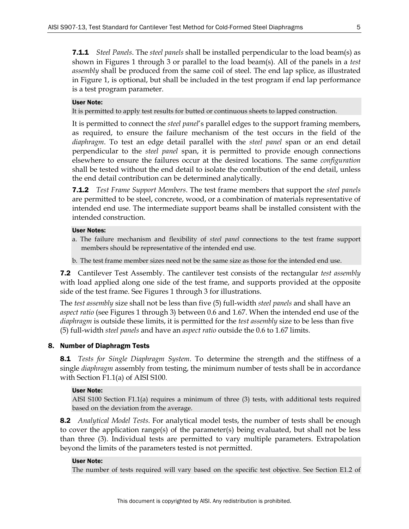7.1.1 *Steel Panels*. The *steel panels* shall be installed perpendicular to the load beam(s) as shown in Figures 1 through 3 or parallel to the load beam(s). All of the panels in a *test assembly* shall be produced from the same coil of steel. The end lap splice, as illustrated in Figure 1, is optional, but shall be included in the test program if end lap performance is a test program parameter.

# User Note:

It is permitted to apply test results for butted or continuous sheets to lapped construction.

It is permitted to connect the *steel panel*'s parallel edges to the support framing members, as required, to ensure the failure mechanism of the test occurs in the field of the *diaphragm*. To test an edge detail parallel with the *steel panel* span or an end detail perpendicular to the *steel panel* span, it is permitted to provide enough connections elsewhere to ensure the failures occur at the desired locations. The same *configuration* shall be tested without the end detail to isolate the contribution of the end detail, unless the end detail contribution can be determined analytically.

7.1.2 *Test Frame Support Members*. The test frame members that support the *steel panels* are permitted to be steel, concrete, wood, or a combination of materials representative of intended end use. The intermediate support beams shall be installed consistent with the intended construction.

# User Notes:

- a. The failure mechanism and flexibility of *steel panel* connections to the test frame support members should be representative of the intended end use.
- b. The test frame member sizes need not be the same size as those for the intended end use.

7.2 Cantilever Test Assembly. The cantilever test consists of the rectangular *test assembly* with load applied along one side of the test frame, and supports provided at the opposite side of the test frame. See Figures 1 through 3 for illustrations.

The *test assembly* size shall not be less than five (5) full-width *steel panels* and shall have an *aspect ratio* (see Figures 1 through 3) between 0.6 and 1.67. When the intended end use of the *diaphragm* is outside these limits, it is permitted for the *test assembly* size to be less than five (5) full-width *steel panels* and have an *aspect ratio* outside the 0.6 to 1.67 limits.

# 8. Number of Diaphragm Tests

8.1 *Tests for Single Diaphragm System*. To determine the strength and the stiffness of a single *diaphragm* assembly from testing, the minimum number of tests shall be in accordance with Section F1.1(a) of AISI S100.

#### User Note:

AISI S100 Section F1.1(a) requires a minimum of three (3) tests, with additional tests required based on the deviation from the average.

8.2 *Analytical Model Tests*. For analytical model tests, the number of tests shall be enough to cover the application range(s) of the parameter(s) being evaluated, but shall not be less than three (3). Individual tests are permitted to vary multiple parameters. Extrapolation beyond the limits of the parameters tested is not permitted.

#### User Note:

The number of tests required will vary based on the specific test objective. See Section E1.2 of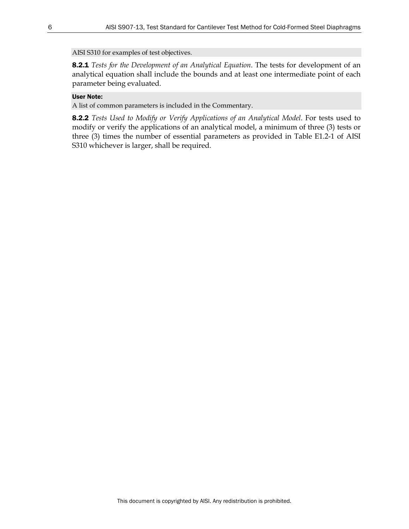#### AISI S310 for examples of test objectives.

8.2.1 *Tests for the Development of an Analytical Equation*. The tests for development of an analytical equation shall include the bounds and at least one intermediate point of each parameter being evaluated.

### User Note:

A list of common parameters is included in the Commentary.

8.2.2 *Tests Used to Modify or Verify Applications of an Analytical Model*. For tests used to modify or verify the applications of an analytical model, a minimum of three (3) tests or three (3) times the number of essential parameters as provided in Table E1.2-1 of AISI S310 whichever is larger, shall be required.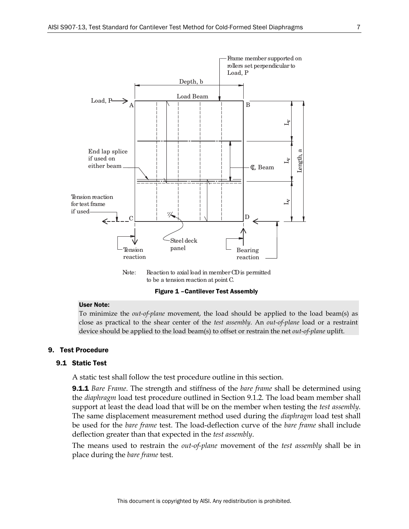

Note: Reaction to axial load in member CD is permitted to be a tension reaction at point C.

Figure 1 –Cantilever Test Assembly

#### User Note:

To minimize the *out-of-plane* movement, the load should be applied to the load beam(s) as close as practical to the shear center of the *test assembly*. An *out-of-plane* load or a restraint device should be applied to the load beam(s) to offset or restrain the net *out-of-plane* uplift.

#### 9. Test Procedure

#### 9.1 Static Test

A static test shall follow the test procedure outline in this section.

9.1.1 *Bare Frame*. The strength and stiffness of the *bare frame* shall be determined using the *diaphragm* load test procedure outlined in Section 9.1.2. The load beam member shall support at least the dead load that will be on the member when testing the *test assembly*. The same displacement measurement method used during the *diaphragm* load test shall be used for the *bare frame* test. The load-deflection curve of the *bare frame* shall include deflection greater than that expected in the *test assembly*.

The means used to restrain the *out-of-plane* movement of the *test assembly* shall be in place during the *bare frame* test.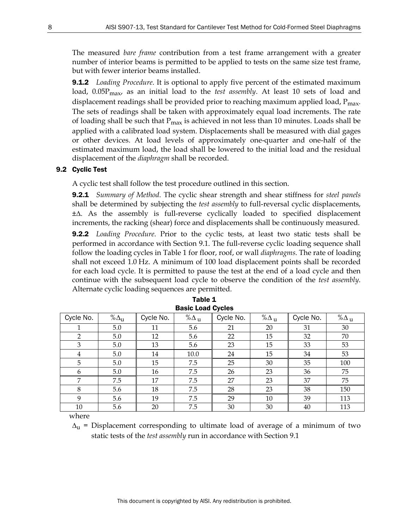The measured *bare frame* contribution from a test frame arrangement with a greater number of interior beams is permitted to be applied to tests on the same size test frame, but with fewer interior beams installed.

**9.1.2** *Loading Procedure.* It is optional to apply five percent of the estimated maximum load, 0.05P<sub>max</sub>, as an initial load to the *test assembly*. At least 10 sets of load and displacement readings shall be provided prior to reaching maximum applied load,  $P_{\text{max}}$ . The sets of readings shall be taken with approximately equal load increments. The rate of loading shall be such that  $P_{\text{max}}$  is achieved in not less than 10 minutes. Loads shall be applied with a calibrated load system. Displacements shall be measured with dial gages or other devices. At load levels of approximately one-quarter and one-half of the estimated maximum load, the load shall be lowered to the initial load and the residual displacement of the *diaphragm* shall be recorded.

# 9.2 Cyclic Test

A cyclic test shall follow the test procedure outlined in this section.

9.2.1 *Summary of Method*. The cyclic shear strength and shear stiffness for *steel panels* shall be determined by subjecting the *test assembly* to full-reversal cyclic displacements, ±∆. As the assembly is full-reverse cyclically loaded to specified displacement increments, the racking (shear) force and displacements shall be continuously measured.

9.2.2 *Loading Procedure*. Prior to the cyclic tests, at least two static tests shall be performed in accordance with Section 9.1. The full-reverse cyclic loading sequence shall follow the loading cycles in Table 1 for floor, roof, or wall *diaphragms*. The rate of loading shall not exceed 1.0 Hz. A minimum of 100 load displacement points shall be recorded for each load cycle. It is permitted to pause the test at the end of a load cycle and then continue with the subsequent load cycle to observe the condition of the *test assembly*. Alternate cyclic loading sequences are permitted.

| Cycle No.      | $\% \Delta_u$ | Cycle No. | % $\Delta$ <sub>u</sub> | Cycle No. | % $\Delta$ <sub>u</sub> | Cycle No. | % $\Delta$ <sub>u</sub> |
|----------------|---------------|-----------|-------------------------|-----------|-------------------------|-----------|-------------------------|
|                | 5.0           | 11        | 5.6                     | 21        | 20                      | 31        | 30                      |
| $\overline{2}$ | 5.0           | 12        | 5.6                     | 22        | 15                      | 32        | 70                      |
| 3              | 5.0           | 13        | 5.6                     | 23        | 15                      | 33        | 53                      |
| 4              | 5.0           | 14        | 10.0                    | 24        | 15                      | 34        | 53                      |
| 5              | 5.0           | 15        | 7.5                     | 25        | 30                      | 35        | 100                     |
| 6              | 5.0           | 16        | 7.5                     | 26        | 23                      | 36        | 75                      |
| 7              | 7.5           | 17        | 7.5                     | 27        | 23                      | 37        | 75                      |
| $\,8\,$        | 5.6           | 18        | 7.5                     | 28        | 23                      | 38        | 150                     |
| 9              | 5.6           | 19        | 7.5                     | 29        | 10                      | 39        | 113                     |
| 10             | 5.6           | 20        | 7.5                     | 30        | 30                      | 40        | 113                     |

| Table 1                  |  |  |  |  |  |  |  |
|--------------------------|--|--|--|--|--|--|--|
| <b>Basic Load Cycles</b> |  |  |  |  |  |  |  |

where

 $\Delta$ <sub>u</sub> = Displacement corresponding to ultimate load of average of a minimum of two static tests of the *test assembly* run in accordance with Section 9.1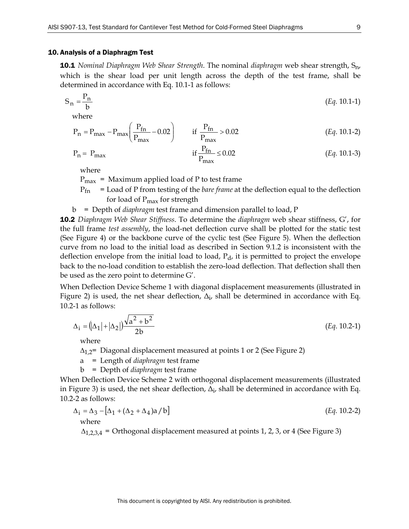#### 10. Analysis of a Diaphragm Test

**10.1** *Nominal Diaphragm Web Shear Strength*. The nominal *diaphragm* web shear strength, S<sub>n</sub>, which is the shear load per unit length across the depth of the test frame, shall be determined in accordance with Eq. 10.1-1 as follows:

$$
S_n = \frac{P_n}{b} \tag{Eq. 10.1-1}
$$

where

$$
P_n = P_{\text{max}} - P_{\text{max}} \left( \frac{P_{\text{fn}}}{P_{\text{max}}} - 0.02 \right) \qquad \text{if } \frac{P_{\text{fn}}}{P_{\text{max}}} > 0.02 \tag{Eq. 10.1-2}
$$

$$
P_n = P_{\text{max}} \qquad \qquad \text{if } \frac{P_{\text{fn}}}{P_{\text{max}}} \le 0.02 \qquad (Eq. 10.1-3)
$$

where

 $P_{\text{max}}$  = Maximum applied load of P to test frame

- Pfn = Load of P from testing of the *bare frame* at the deflection equal to the deflection for load of  $P_{\text{max}}$  for strength
- b = Depth of *diaphragm* test frame and dimension parallel to load, P

10.2 *Diaphragm Web Shear Stiffness*. To determine the *diaphragm* web shear stiffness, G', for the full frame *test assembly*, the load-net deflection curve shall be plotted for the static test (See Figure 4) or the backbone curve of the cyclic test (See Figure 5). When the deflection curve from no load to the initial load as described in Section 9.1.2 is inconsistent with the deflection envelope from the initial load to load,  $P_d$ , it is permitted to project the envelope back to the no-load condition to establish the zero-load deflection. That deflection shall then be used as the zero point to determine G'.

When Deflection Device Scheme 1 with diagonal displacement measurements (illustrated in Figure 2) is used, the net shear deflection,  $\Delta_{i}$ , shall be determined in accordance with Eq. 10.2-1 as follows:

$$
\Delta_{i} = (\Delta_{1}|+|\Delta_{2}|)\frac{\sqrt{a^{2}+b^{2}}}{2b}
$$
 (Eq. 10.2-1)

where

∆1,2= Diagonal displacement measured at points 1 or 2 (See Figure 2)

a = Length of *diaphragm* test frame

b = Depth of *diaphragm* test frame

When Deflection Device Scheme 2 with orthogonal displacement measurements (illustrated in Figure 3) is used, the net shear deflection,  $\Delta_i$ , shall be determined in accordance with Eq. 10.2-2 as follows:

$$
\Delta_{\mathbf{i}} = \Delta_{\mathbf{3}} - [\Delta_{\mathbf{1}} + (\Delta_{\mathbf{2}} + \Delta_{\mathbf{4}}) \mathbf{a} / \mathbf{b}]
$$
 (Eq. 10.2-2)  
where

 $\Delta_{1,2,3,4}$  = Orthogonal displacement measured at points 1, 2, 3, or 4 (See Figure 3)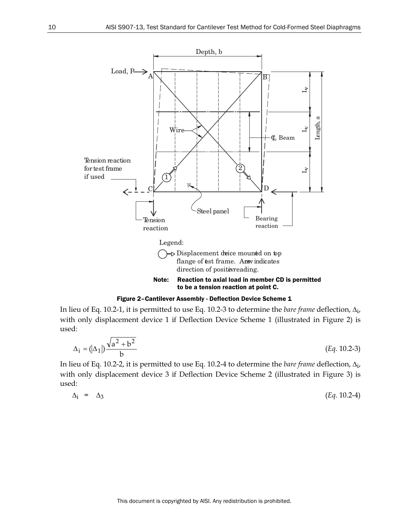



In lieu of Eq. 10.2-1, it is permitted to use Eq. 10.2-3 to determine the *bare frame* deflection,  $\Delta_{i}$ , with only displacement device 1 if Deflection Device Scheme 1 (illustrated in Figure 2) is used:

$$
\Delta_{i} = (|\Delta_{1}|) \frac{\sqrt{a^{2} + b^{2}}}{b}
$$
 (Eq. 10.2-3)

In lieu of Eq. 10.2-2, it is permitted to use Eq. 10.2-4 to determine the *bare frame* deflection,  $\Delta_{i}$ , with only displacement device 3 if Deflection Device Scheme 2 (illustrated in Figure 3) is used:

$$
\Delta_{\mathbf{i}} = \Delta_{\mathbf{3}} \tag{Eq. 10.2-4}
$$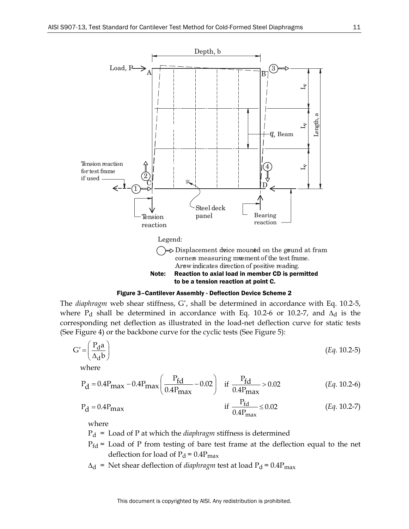



The *diaphragm* web shear stiffness, G', shall be determined in accordance with Eq. 10.2-5, where P<sub>d</sub> shall be determined in accordance with Eq. 10.2-6 or 10.2-7, and  $\Delta_d$  is the corresponding net deflection as illustrated in the load-net deflection curve for static tests (See Figure 4) or the backbone curve for the cyclic tests (See Figure 5):

$$
G' = \left(\frac{P_d a}{\Delta_d b}\right) \tag{Eq. 10.2-5}
$$

where

$$
P_{d} = 0.4P_{\text{max}} - 0.4P_{\text{max}} \left( \frac{P_{fd}}{0.4P_{\text{max}}} - 0.02 \right) \text{ if } \frac{P_{fd}}{0.4P_{\text{max}}} > 0.02 \qquad (Eq. 10.2-6)
$$

$$
P_{\rm d} = 0.4 P_{\rm max}
$$
 if  $\frac{P_{\rm fd}}{0.4 P_{\rm max}} \le 0.02$  (*Eq*. 10.2-7)

where

- Pd = Load of P at which the *diaphragm* stiffness is determined
- $P_{\text{fd}}$  = Load of P from testing of bare test frame at the deflection equal to the net deflection for load of  $P_d = 0.4P_{max}$
- $\Delta_d$  = Net shear deflection of *diaphragm* test at load P<sub>d</sub> = 0.4P<sub>max</sub>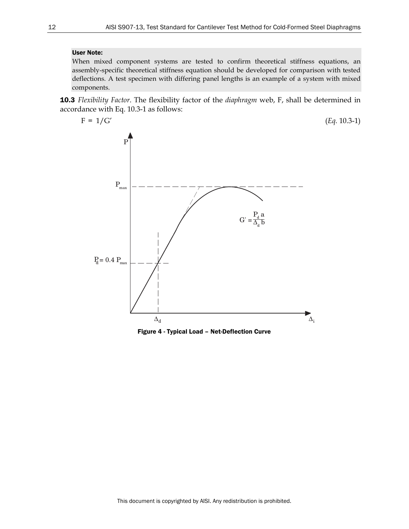# User Note:

When mixed component systems are tested to confirm theoretical stiffness equations, an assembly-specific theoretical stiffness equation should be developed for comparison with tested deflections. A test specimen with differing panel lengths is an example of a system with mixed components.

10.3 *Flexibility Factor*. The flexibility factor of the *diaphragm* web, F, shall be determined in accordance with Eq. 10.3-1 as follows:



Figure 4 - Typical Load – Net-Deflection Curve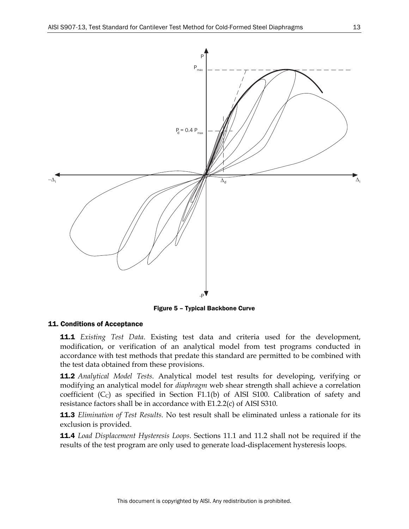

Figure 5 – Typical Backbone Curve

#### 11. Conditions of Acceptance

11.1 *Existing Test Data*. Existing test data and criteria used for the development, modification, or verification of an analytical model from test programs conducted in accordance with test methods that predate this standard are permitted to be combined with the test data obtained from these provisions.

11.2 *Analytical Model Tests*. Analytical model test results for developing, verifying or modifying an analytical model for *diaphragm* web shear strength shall achieve a correlation coefficient  $(C<sub>c</sub>)$  as specified in Section F1.1(b) of AISI S100. Calibration of safety and resistance factors shall be in accordance with E1.2.2(c) of AISI S310.

11.3 *Elimination of Test Results*. No test result shall be eliminated unless a rationale for its exclusion is provided.

11.4 *Load Displacement Hysteresis Loops*. Sections 11.1 and 11.2 shall not be required if the results of the test program are only used to generate load-displacement hysteresis loops.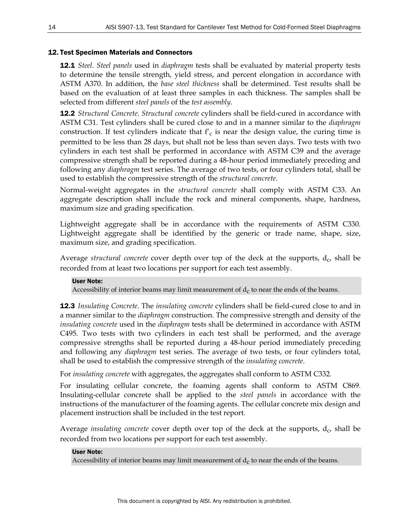#### 12. Test Specimen Materials and Connectors

12.1 *Steel*. *Steel panels* used in *diaphragm* tests shall be evaluated by material property tests to determine the tensile strength, yield stress, and percent elongation in accordance with ASTM A370. In addition, the *base steel thickness* shall be determined. Test results shall be based on the evaluation of at least three samples in each thickness. The samples shall be selected from different *steel panels* of the *test assembly*.

12.2 *Structural Concrete*. *Structural concrete* cylinders shall be field-cured in accordance with ASTM C31. Test cylinders shall be cured close to and in a manner similar to the *diaphragm* construction. If test cylinders indicate that  $f'_{c}$  is near the design value, the curing time is permitted to be less than 28 days, but shall not be less than seven days. Two tests with two cylinders in each test shall be performed in accordance with ASTM C39 and the average compressive strength shall be reported during a 48-hour period immediately preceding and following any *diaphragm* test series. The average of two tests, or four cylinders total, shall be used to establish the compressive strength of the *structural concrete*.

Normal-weight aggregates in the *structural concrete* shall comply with ASTM C33. An aggregate description shall include the rock and mineral components, shape, hardness, maximum size and grading specification.

Lightweight aggregate shall be in accordance with the requirements of ASTM C330. Lightweight aggregate shall be identified by the generic or trade name, shape, size, maximum size, and grading specification.

Average *structural concrete* cover depth over top of the deck at the supports, d<sub>c</sub>, shall be recorded from at least two locations per support for each test assembly.

#### User Note:

Accessibility of interior beams may limit measurement of  $d_c$  to near the ends of the beams.

12.3 *Insulating Concrete*. The *insulating concrete* cylinders shall be field-cured close to and in a manner similar to the *diaphragm* construction. The compressive strength and density of the *insulating concrete* used in the *diaphragm* tests shall be determined in accordance with ASTM C495. Two tests with two cylinders in each test shall be performed, and the average compressive strengths shall be reported during a 48-hour period immediately preceding and following any *diaphragm* test series. The average of two tests, or four cylinders total, shall be used to establish the compressive strength of the *insulating concrete*.

For *insulating concrete* with aggregates, the aggregates shall conform to ASTM C332.

For insulating cellular concrete, the foaming agents shall conform to ASTM C869. Insulating-cellular concrete shall be applied to the *steel panels* in accordance with the instructions of the manufacturer of the foaming agents. The cellular concrete mix design and placement instruction shall be included in the test report.

Average *insulating concrete* cover depth over top of the deck at the supports, d<sub>c</sub>, shall be recorded from two locations per support for each test assembly.

### User Note:

Accessibility of interior beams may limit measurement of  $d_c$  to near the ends of the beams.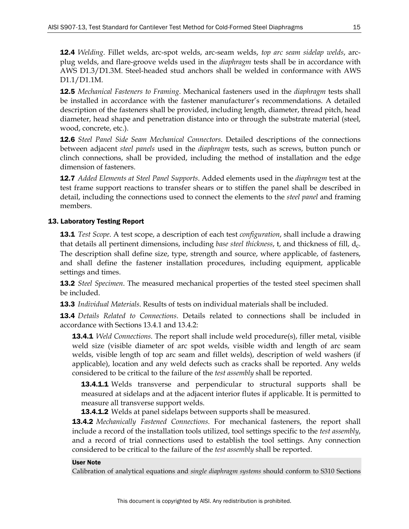12.4 *Welding*. Fillet welds, arc-spot welds, arc-seam welds, *top arc seam sidelap welds*, arcplug welds, and flare-groove welds used in the *diaphragm* tests shall be in accordance with AWS D1.3/D1.3M. Steel-headed stud anchors shall be welded in conformance with AWS D1.1/D1.1M.

12.5 *Mechanical Fasteners to Framing*. Mechanical fasteners used in the *diaphragm* tests shall be installed in accordance with the fastener manufacturer's recommendations. A detailed description of the fasteners shall be provided, including length, diameter, thread pitch, head diameter, head shape and penetration distance into or through the substrate material (steel, wood, concrete, etc.).

12.6 *Steel Panel Side Seam Mechanical Connectors*. Detailed descriptions of the connections between adjacent *steel panels* used in the *diaphragm* tests, such as screws, button punch or clinch connections, shall be provided, including the method of installation and the edge dimension of fasteners.

12.7 *Added Elements at Steel Panel Supports*. Added elements used in the *diaphragm* test at the test frame support reactions to transfer shears or to stiffen the panel shall be described in detail, including the connections used to connect the elements to the *steel panel* and framing members.

# 13. Laboratory Testing Report

13.1 *Test Scope*. A test scope, a description of each test *configuration*, shall include a drawing that details all pertinent dimensions, including *base steel thickness*, t, and thickness of fill, d<sub>c</sub>. The description shall define size, type, strength and source, where applicable, of fasteners, and shall define the fastener installation procedures, including equipment, applicable settings and times.

13.2 *Steel Specimen*. The measured mechanical properties of the tested steel specimen shall be included.

13.3 *Individual Materials*. Results of tests on individual materials shall be included.

13.4 *Details Related to Connections*. Details related to connections shall be included in accordance with Sections 13.4.1 and 13.4.2:

**13.4.1** *Weld Connections*. The report shall include weld procedure(s), filler metal, visible weld size (visible diameter of arc spot welds, visible width and length of arc seam welds, visible length of top arc seam and fillet welds), description of weld washers (if applicable), location and any weld defects such as cracks shall be reported. Any welds considered to be critical to the failure of the *test assembly* shall be reported.

**13.4.1.1** Welds transverse and perpendicular to structural supports shall be measured at sidelaps and at the adjacent interior flutes if applicable. It is permitted to measure all transverse support welds.

**13.4.1.2** Welds at panel sidelaps between supports shall be measured.

13.4.2 *Mechanically Fastened Connections*. For mechanical fasteners, the report shall include a record of the installation tools utilized, tool settings specific to the *test assembly*, and a record of trial connections used to establish the tool settings. Any connection considered to be critical to the failure of the *test assembly* shall be reported.

# User Note

Calibration of analytical equations and *single diaphragm systems* should conform to S310 Sections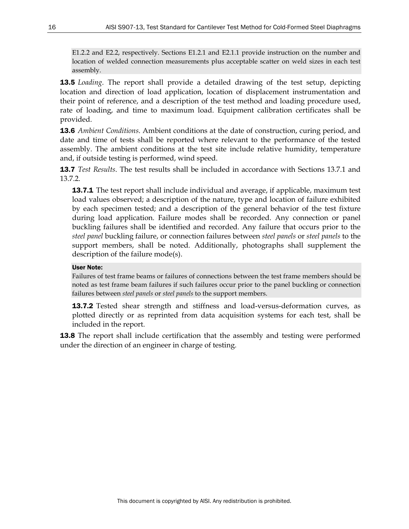E1.2.2 and E2.2, respectively. Sections E1.2.1 and E2.1.1 provide instruction on the number and location of welded connection measurements plus acceptable scatter on weld sizes in each test assembly.

13.5 *Loading*. The report shall provide a detailed drawing of the test setup, depicting location and direction of load application, location of displacement instrumentation and their point of reference, and a description of the test method and loading procedure used, rate of loading, and time to maximum load. Equipment calibration certificates shall be provided.

13.6 *Ambient Conditions*. Ambient conditions at the date of construction, curing period, and date and time of tests shall be reported where relevant to the performance of the tested assembly. The ambient conditions at the test site include relative humidity, temperature and, if outside testing is performed, wind speed.

13.7 *Test Results*. The test results shall be included in accordance with Sections 13.7.1 and 13.7.2.

**13.7.1** The test report shall include individual and average, if applicable, maximum test load values observed; a description of the nature, type and location of failure exhibited by each specimen tested; and a description of the general behavior of the test fixture during load application. Failure modes shall be recorded. Any connection or panel buckling failures shall be identified and recorded. Any failure that occurs prior to the *steel panel* buckling failure, or connection failures between *steel panels* or *steel panels* to the support members, shall be noted. Additionally, photographs shall supplement the description of the failure mode(s).

#### User Note:

Failures of test frame beams or failures of connections between the test frame members should be noted as test frame beam failures if such failures occur prior to the panel buckling or connection failures between *steel panels* or *steel panels* to the support members.

**13.7.2** Tested shear strength and stiffness and load-versus-deformation curves, as plotted directly or as reprinted from data acquisition systems for each test, shall be included in the report.

**13.8** The report shall include certification that the assembly and testing were performed under the direction of an engineer in charge of testing.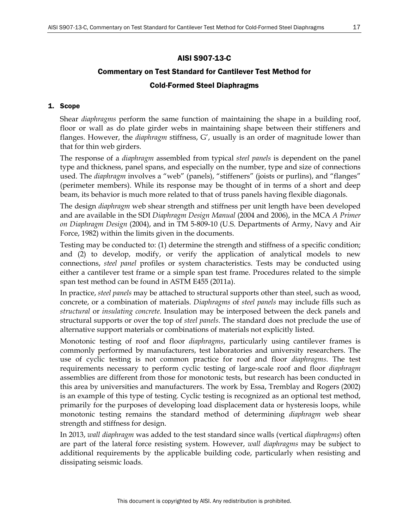# AISI S907-13-C Commentary on Test Standard for Cantilever Test Method for Cold-Formed Steel Diaphragms

#### 1. Scope

Shear *diaphragms* perform the same function of maintaining the shape in a building roof, floor or wall as do plate girder webs in maintaining shape between their stiffeners and flanges. However, the *diaphragm* stiffness, G', usually is an order of magnitude lower than that for thin web girders.

The response of a *diaphragm* assembled from typical *steel panels* is dependent on the panel type and thickness, panel spans, and especially on the number, type and size of connections used. The *diaphragm* involves a "web" (panels), "stiffeners" (joists or purlins), and "flanges" (perimeter members). While its response may be thought of in terms of a short and deep beam, its behavior is much more related to that of truss panels having flexible diagonals.

The design *diaphragm* web shear strength and stiffness per unit length have been developed and are available in the SDI *Diaphragm Design Manual* (2004 and 2006), in the MCA *A Primer on Diaphragm Design* (2004), and in TM 5-809-10 (U.S. Departments of Army, Navy and Air Force, 1982) within the limits given in the documents.

Testing may be conducted to: (1) determine the strength and stiffness of a specific condition; and (2) to develop, modify, or verify the application of analytical models to new connections, *steel panel* profiles or system characteristics. Tests may be conducted using either a cantilever test frame or a simple span test frame. Procedures related to the simple span test method can be found in ASTM E455 (2011a).

In practice, *steel panels* may be attached to structural supports other than steel, such as wood, concrete, or a combination of materials. *Diaphragms* of *steel panels* may include fills such as *structural* or *insulating concrete*. Insulation may be interposed between the deck panels and structural supports or over the top of *steel panels*. The standard does not preclude the use of alternative support materials or combinations of materials not explicitly listed.

Monotonic testing of roof and floor *diaphragms*, particularly using cantilever frames is commonly performed by manufacturers, test laboratories and university researchers. The use of cyclic testing is not common practice for roof and floor *diaphragms*. The test requirements necessary to perform cyclic testing of large-scale roof and floor *diaphragm* assemblies are different from those for monotonic tests, but research has been conducted in this area by universities and manufacturers. The work by Essa, Tremblay and Rogers (2002) is an example of this type of testing. Cyclic testing is recognized as an optional test method, primarily for the purposes of developing load displacement data or hysteresis loops, while monotonic testing remains the standard method of determining *diaphragm* web shear strength and stiffness for design.

In 2013, *wall diaphragm* was added to the test standard since walls (vertical *diaphragms*) often are part of the lateral force resisting system. However, *wall diaphragms* may be subject to additional requirements by the applicable building code, particularly when resisting and dissipating seismic loads.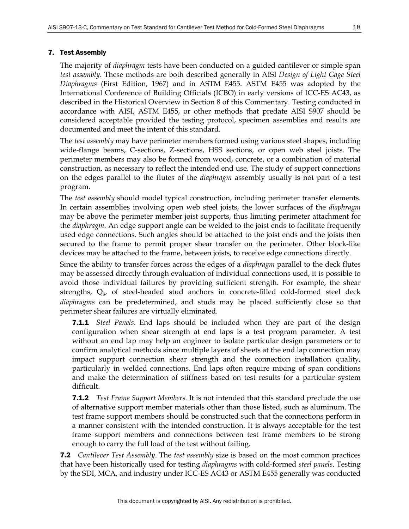The majority of *diaphragm* tests have been conducted on a guided cantilever or simple span *test assembly*. These methods are both described generally in AISI *Design of Light Gage Steel Diaphragms* (First Edition, 1967) and in ASTM E455. ASTM E455 was adopted by the International Conference of Building Officials (ICBO) in early versions of ICC-ES AC43, as described in the Historical Overview in Section 8 of this Commentary. Testing conducted in accordance with AISI, ASTM E455, or other methods that predate AISI S907 should be considered acceptable provided the testing protocol, specimen assemblies and results are documented and meet the intent of this standard.

The *test assembly* may have perimeter members formed using various steel shapes, including wide-flange beams, C-sections, Z-sections, HSS sections, or open web steel joists. The perimeter members may also be formed from wood, concrete, or a combination of material construction, as necessary to reflect the intended end use. The study of support connections on the edges parallel to the flutes of the *diaphragm* assembly usually is not part of a test program.

The *test assembly* should model typical construction, including perimeter transfer elements. In certain assemblies involving open web steel joists, the lower surfaces of the *diaphragm* may be above the perimeter member joist supports, thus limiting perimeter attachment for the *diaphragm*. An edge support angle can be welded to the joist ends to facilitate frequently used edge connections. Such angles should be attached to the joist ends and the joists then secured to the frame to permit proper shear transfer on the perimeter. Other block-like devices may be attached to the frame, between joists, to receive edge connections directly.

Since the ability to transfer forces across the edges of a *diaphragm* parallel to the deck flutes may be assessed directly through evaluation of individual connections used, it is possible to avoid those individual failures by providing sufficient strength. For example, the shear strengths, Q<sub>s</sub>, of steel-headed stud anchors in concrete-filled cold-formed steel deck *diaphragms* can be predetermined, and studs may be placed sufficiently close so that perimeter shear failures are virtually eliminated.

7.1.1 *Steel Panels*. End laps should be included when they are part of the design configuration when shear strength at end laps is a test program parameter. A test without an end lap may help an engineer to isolate particular design parameters or to confirm analytical methods since multiple layers of sheets at the end lap connection may impact support connection shear strength and the connection installation quality, particularly in welded connections. End laps often require mixing of span conditions and make the determination of stiffness based on test results for a particular system difficult.

7.1.2 *Test Frame Support Members*. It is not intended that this standard preclude the use of alternative support member materials other than those listed, such as aluminum. The test frame support members should be constructed such that the connections perform in a manner consistent with the intended construction. It is always acceptable for the test frame support members and connections between test frame members to be strong enough to carry the full load of the test without failing.

7.2 *Cantilever Test Assembly*. The *test assembly* size is based on the most common practices that have been historically used for testing *diaphragms* with cold-formed *steel panels*. Testing by the SDI, MCA, and industry under ICC-ES AC43 or ASTM E455 generally was conducted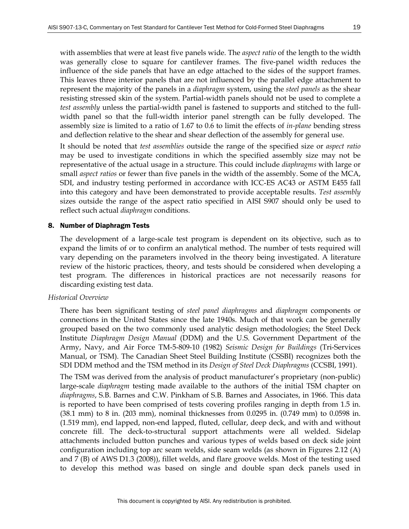with assemblies that were at least five panels wide. The *aspect ratio* of the length to the width was generally close to square for cantilever frames. The five-panel width reduces the influence of the side panels that have an edge attached to the sides of the support frames. This leaves three interior panels that are not influenced by the parallel edge attachment to represent the majority of the panels in a *diaphragm* system, using the *steel panels* as the shear resisting stressed skin of the system. Partial-width panels should not be used to complete a *test assembly* unless the partial-width panel is fastened to supports and stitched to the fullwidth panel so that the full-width interior panel strength can be fully developed. The assembly size is limited to a ratio of 1.67 to 0.6 to limit the effects of *in-plane* bending stress and deflection relative to the shear and shear deflection of the assembly for general use.

It should be noted that *test assemblies* outside the range of the specified size or *aspect ratio* may be used to investigate conditions in which the specified assembly size may not be representative of the actual usage in a structure. This could include *diaphragms* with large or small *aspect ratios* or fewer than five panels in the width of the assembly. Some of the MCA, SDI, and industry testing performed in accordance with ICC-ES AC43 or ASTM E455 fall into this category and have been demonstrated to provide acceptable results. *Test assembly* sizes outside the range of the aspect ratio specified in AISI S907 should only be used to reflect such actual *diaphragm* conditions.

#### 8. Number of Diaphragm Tests

The development of a large-scale test program is dependent on its objective, such as to expand the limits of or to confirm an analytical method. The number of tests required will vary depending on the parameters involved in the theory being investigated. A literature review of the historic practices, theory, and tests should be considered when developing a test program. The differences in historical practices are not necessarily reasons for discarding existing test data.

#### *Historical Overview*

There has been significant testing of *steel panel diaphragms* and *diaphragm* components or connections in the United States since the late 1940s. Much of that work can be generally grouped based on the two commonly used analytic design methodologies; the Steel Deck Institute *Diaphragm Design Manual* (DDM) and the U.S. Government Department of the Army, Navy, and Air Force TM-5-809-10 (1982) *Seismic Design for Buildings* (Tri-Services Manual, or TSM). The Canadian Sheet Steel Building Institute (CSSBI) recognizes both the SDI DDM method and the TSM method in its *Design of Steel Deck Diaphragms* (CCSBI, 1991).

The TSM was derived from the analysis of product manufacturer's proprietary (non-public) large-scale *diaphragm* testing made available to the authors of the initial TSM chapter on *diaphragms*, S.B. Barnes and C.W. Pinkham of S.B. Barnes and Associates, in 1966. This data is reported to have been comprised of tests covering profiles ranging in depth from 1.5 in. (38.1 mm) to 8 in. (203 mm), nominal thicknesses from 0.0295 in. (0.749 mm) to 0.0598 in. (1.519 mm), end lapped, non-end lapped, fluted, cellular, deep deck, and with and without concrete fill. The deck-to-structural support attachments were all welded. Sidelap attachments included button punches and various types of welds based on deck side joint configuration including top arc seam welds, side seam welds (as shown in Figures 2.12 (A) and 7 (B) of AWS D1.3 (2008)), fillet welds, and flare groove welds. Most of the testing used to develop this method was based on single and double span deck panels used in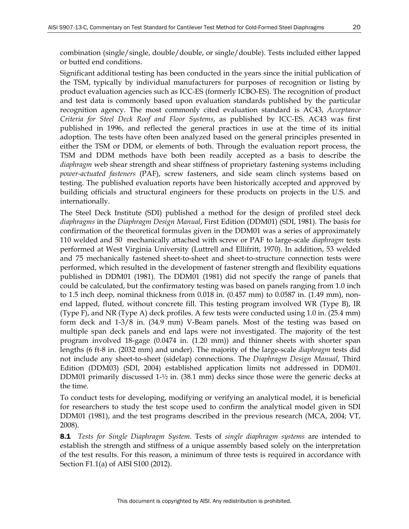combination (single/single, double/double, or single/double). Tests included either lapped or butted end conditions.

Significant additional testing has been conducted in the years since the initial publication of the TSM, typically by individual manufacturers for purposes of recognition or listing by product evaluation agencies such as ICC-ES (formerly ICBO-ES). The recognition of product and test data is commonly based upon evaluation standards published by the particular recognition agency. The most commonly cited evaluation standard is AC43, *Acceptance Criteria for Steel Deck Roof and Floor Systems*, as published by ICC-ES. AC43 was first published in 1996, and reflected the general practices in use at the time of its initial adoption. The tests have often been analyzed based on the general principles presented in either the TSM or DDM, or elements of both. Through the evaluation report process, the TSM and DDM methods have both been readily accepted as a basis to describe the *diaphragm* web shear strength and shear stiffness of proprietary fastening systems including *power-actuated fasteners* (PAF), screw fasteners, and side seam clinch systems based on testing. The published evaluation reports have been historically accepted and approved by building officials and structural engineers for these products on projects in the U.S. and internationally.

The Steel Deck Institute (SDI) published a method for the design of profiled steel deck *diaphragms* in the *Diaphragm Design Manual*, First Edition (DDM01) (SDI, 1981). The basis for confirmation of the theoretical formulas given in the DDM01 was a series of approximately 110 welded and 50 mechanically attached with screw or PAF to large-scale *diaphragm* tests performed at West Virginia University (Luttrell and Ellifritt, 1970). In addition, 53 welded and 75 mechanically fastened sheet-to-sheet and sheet-to-structure connection tests were performed, which resulted in the development of fastener strength and flexibility equations published in DDM01 (1981). The DDM01 (1981) did not specify the range of panels that could be calculated, but the confirmatory testing was based on panels ranging from 1.0 inch to 1.5 inch deep, nominal thickness from 0.018 in. (0.457 mm) to 0.0587 in. (1.49 mm), nonend lapped, fluted, without concrete fill. This testing program involved WR (Type B), IR (Type F), and NR (Type A) deck profiles. A few tests were conducted using 1.0 in. (25.4 mm) form deck and 1-3/8 in. (34.9 mm) V-Beam panels. Most of the testing was based on multiple span deck panels and end laps were not investigated. The majority of the test program involved 18-gage (0.0474 in. (1.20 mm)) and thinner sheets with shorter span lengths (6 ft-8 in. (2032 mm) and under). The majority of the large-scale *diaphragm* tests did not include any sheet-to-sheet (sidelap) connections. The *Diaphragm Design Manual*, Third Edition (DDM03) (SDI, 2004) established application limits not addressed in DDM01. DDM01 primarily discussed  $1-\frac{1}{2}$  in. (38.1 mm) decks since those were the generic decks at the time.

To conduct tests for developing, modifying or verifying an analytical model, it is beneficial for researchers to study the test scope used to confirm the analytical model given in SDI DDM01 (1981), and the test programs described in the previous research (MCA, 2004; VT, 2008).

8.1 *Tests for Single Diaphragm System*. Tests of *single diaphragm systems* are intended to establish the strength and stiffness of a unique assembly based solely on the interpretation of the test results. For this reason, a minimum of three tests is required in accordance with Section F1.1(a) of AISI S100 (2012).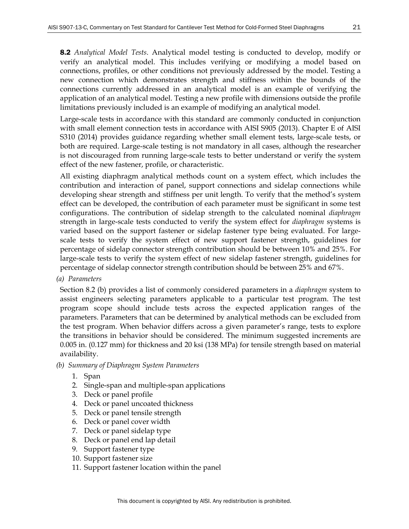8.2 *Analytical Model Tests*. Analytical model testing is conducted to develop, modify or verify an analytical model. This includes verifying or modifying a model based on connections, profiles, or other conditions not previously addressed by the model. Testing a new connection which demonstrates strength and stiffness within the bounds of the connections currently addressed in an analytical model is an example of verifying the application of an analytical model. Testing a new profile with dimensions outside the profile limitations previously included is an example of modifying an analytical model.

Large-scale tests in accordance with this standard are commonly conducted in conjunction with small element connection tests in accordance with AISI S905 (2013). Chapter E of AISI S310 (2014) provides guidance regarding whether small element tests, large-scale tests, or both are required. Large-scale testing is not mandatory in all cases, although the researcher is not discouraged from running large-scale tests to better understand or verify the system effect of the new fastener, profile, or characteristic.

All existing diaphragm analytical methods count on a system effect, which includes the contribution and interaction of panel, support connections and sidelap connections while developing shear strength and stiffness per unit length. To verify that the method's system effect can be developed, the contribution of each parameter must be significant in some test configurations. The contribution of sidelap strength to the calculated nominal *diaphragm* strength in large-scale tests conducted to verify the system effect for *diaphragm* systems is varied based on the support fastener or sidelap fastener type being evaluated. For largescale tests to verify the system effect of new support fastener strength, guidelines for percentage of sidelap connector strength contribution should be between 10% and 25%. For large-scale tests to verify the system effect of new sidelap fastener strength, guidelines for percentage of sidelap connector strength contribution should be between 25% and 67%.

*(a) Parameters* 

Section 8.2 (b) provides a list of commonly considered parameters in a *diaphragm* system to assist engineers selecting parameters applicable to a particular test program. The test program scope should include tests across the expected application ranges of the parameters. Parameters that can be determined by analytical methods can be excluded from the test program. When behavior differs across a given parameter's range, tests to explore the transitions in behavior should be considered. The minimum suggested increments are 0.005 in. (0.127 mm) for thickness and 20 ksi (138 MPa) for tensile strength based on material availability.

- *(b) Summary of Diaphragm System Parameters* 
	- 1. Span
	- 2. Single-span and multiple-span applications
	- 3. Deck or panel profile
	- 4. Deck or panel uncoated thickness
	- 5. Deck or panel tensile strength
	- 6. Deck or panel cover width
	- 7. Deck or panel sidelap type
	- 8. Deck or panel end lap detail
	- 9. Support fastener type
	- 10. Support fastener size
	- 11. Support fastener location within the panel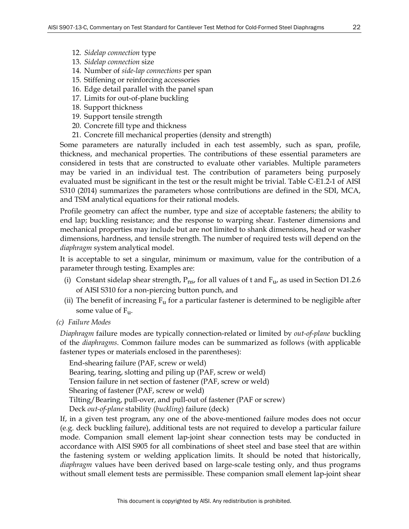- 12. *Sidelap connection* type
- 13. *Sidelap connection* size
- 14. Number of *side-lap connections* per span
- 15. Stiffening or reinforcing accessories
- 16. Edge detail parallel with the panel span
- 17. Limits for out-of-plane buckling
- 18. Support thickness
- 19. Support tensile strength
- 20. Concrete fill type and thickness
- 21. Concrete fill mechanical properties (density and strength)

Some parameters are naturally included in each test assembly, such as span, profile, thickness, and mechanical properties. The contributions of these essential parameters are considered in tests that are constructed to evaluate other variables. Multiple parameters may be varied in an individual test. The contribution of parameters being purposely evaluated must be significant in the test or the result might be trivial. Table C-E1.2-1 of AISI S310 (2014) summarizes the parameters whose contributions are defined in the SDI, MCA, and TSM analytical equations for their rational models.

Profile geometry can affect the number, type and size of acceptable fasteners; the ability to end lap; buckling resistance; and the response to warping shear. Fastener dimensions and mechanical properties may include but are not limited to shank dimensions, head or washer dimensions, hardness, and tensile strength. The number of required tests will depend on the *diaphragm* system analytical model.

It is acceptable to set a singular, minimum or maximum, value for the contribution of a parameter through testing. Examples are:

- (i) Constant sidelap shear strength,  $P_{\text{ns}}$ , for all values of t and  $F_{\text{u}}$ , as used in Section D1.2.6 of AISI S310 for a non-piercing button punch, and
- (ii) The benefit of increasing  $F_u$  for a particular fastener is determined to be negligible after some value of  $F_u$ .
- *(c) Failure Modes*

*Diaphragm* failure modes are typically connection-related or limited by *out-of-plane* buckling of the *diaphragms*. Common failure modes can be summarized as follows (with applicable fastener types or materials enclosed in the parentheses):

End-shearing failure (PAF, screw or weld) Bearing, tearing, slotting and piling up (PAF, screw or weld) Tension failure in net section of fastener (PAF, screw or weld) Shearing of fastener (PAF, screw or weld) Tilting/Bearing, pull-over, and pull-out of fastener (PAF or screw) Deck *out-of-plane* stability (*buckling*) failure (deck)

If, in a given test program, any one of the above-mentioned failure modes does not occur (e.g. deck buckling failure), additional tests are not required to develop a particular failure mode. Companion small element lap-joint shear connection tests may be conducted in accordance with AISI S905 for all combinations of sheet steel and base steel that are within the fastening system or welding application limits. It should be noted that historically, *diaphragm* values have been derived based on large-scale testing only, and thus programs without small element tests are permissible. These companion small element lap-joint shear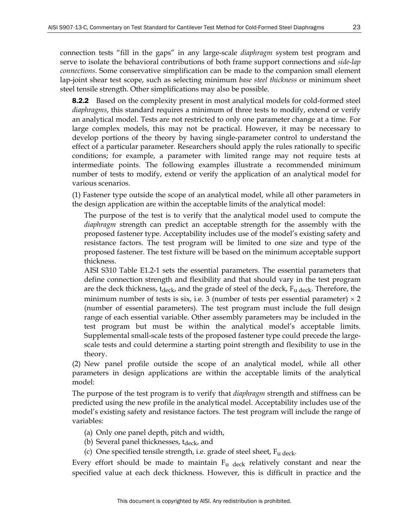connection tests "fill in the gaps" in any large-scale *diaphragm* system test program and serve to isolate the behavioral contributions of both frame support connections and *side-lap connections*. Some conservative simplification can be made to the companion small element lap-joint shear test scope, such as selecting minimum *base steel thickness* or minimum sheet steel tensile strength. Other simplifications may also be possible.

**8.2.2** Based on the complexity present in most analytical models for cold-formed steel *diaphragms*, this standard requires a minimum of three tests to modify, extend or verify an analytical model. Tests are not restricted to only one parameter change at a time. For large complex models, this may not be practical. However, it may be necessary to develop portions of the theory by having single-parameter control to understand the effect of a particular parameter. Researchers should apply the rules rationally to specific conditions; for example, a parameter with limited range may not require tests at intermediate points. The following examples illustrate a recommended minimum number of tests to modify, extend or verify the application of an analytical model for various scenarios.

(1) Fastener type outside the scope of an analytical model, while all other parameters in the design application are within the acceptable limits of the analytical model:

The purpose of the test is to verify that the analytical model used to compute the *diaphragm* strength can predict an acceptable strength for the assembly with the proposed fastener type. Acceptability includes use of the model's existing safety and resistance factors. The test program will be limited to one size and type of the proposed fastener. The test fixture will be based on the minimum acceptable support thickness.

AISI S310 Table E1.2-1 sets the essential parameters. The essential parameters that define connection strength and flexibility and that should vary in the test program are the deck thickness,  $t_{\text{deck}}$ , and the grade of steel of the deck,  $F_u$  <sub>deck</sub>. Therefore, the minimum number of tests is six, i.e. 3 (number of tests per essential parameter)  $\times$  2 (number of essential parameters). The test program must include the full design range of each essential variable. Other assembly parameters may be included in the test program but must be within the analytical model's acceptable limits. Supplemental small-scale tests of the proposed fastener type could precede the largescale tests and could determine a starting point strength and flexibility to use in the theory.

(2) New panel profile outside the scope of an analytical model, while all other parameters in design applications are within the acceptable limits of the analytical model:

The purpose of the test program is to verify that *diaphragm* strength and stiffness can be predicted using the new profile in the analytical model. Acceptability includes use of the model's existing safety and resistance factors. The test program will include the range of variables:

- (a) Only one panel depth, pitch and width,
- (b) Several panel thicknesses,  $t_{\text{deck}}$ , and
- (c) One specified tensile strength, i.e. grade of steel sheet,  $F_u$  deck.

Every effort should be made to maintain  $F_u$  deck relatively constant and near the specified value at each deck thickness. However, this is difficult in practice and the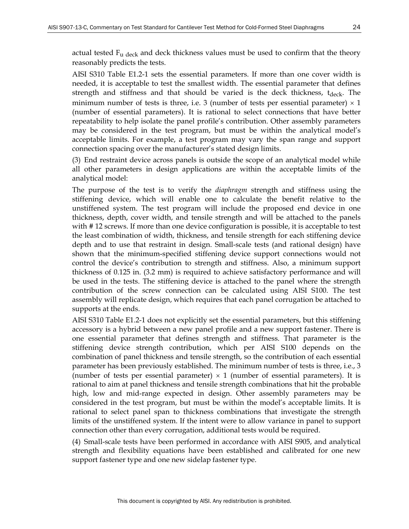actual tested  $F_u$  deck and deck thickness values must be used to confirm that the theory reasonably predicts the tests.

AISI S310 Table E1.2-1 sets the essential parameters. If more than one cover width is needed, it is acceptable to test the smallest width. The essential parameter that defines strength and stiffness and that should be varied is the deck thickness,  $t_{\text{deck}}$ . The minimum number of tests is three, i.e. 3 (number of tests per essential parameter)  $\times$  1 (number of essential parameters). It is rational to select connections that have better repeatability to help isolate the panel profile's contribution. Other assembly parameters may be considered in the test program, but must be within the analytical model's acceptable limits. For example, a test program may vary the span range and support connection spacing over the manufacturer's stated design limits.

(3) End restraint device across panels is outside the scope of an analytical model while all other parameters in design applications are within the acceptable limits of the analytical model:

The purpose of the test is to verify the *diaphragm* strength and stiffness using the stiffening device, which will enable one to calculate the benefit relative to the unstiffened system. The test program will include the proposed end device in one thickness, depth, cover width, and tensile strength and will be attached to the panels with # 12 screws. If more than one device configuration is possible, it is acceptable to test the least combination of width, thickness, and tensile strength for each stiffening device depth and to use that restraint in design. Small-scale tests (and rational design) have shown that the minimum-specified stiffening device support connections would not control the device's contribution to strength and stiffness. Also, a minimum support thickness of 0.125 in. (3.2 mm) is required to achieve satisfactory performance and will be used in the tests. The stiffening device is attached to the panel where the strength contribution of the screw connection can be calculated using AISI S100. The test assembly will replicate design, which requires that each panel corrugation be attached to supports at the ends.

AISI S310 Table E1.2-1 does not explicitly set the essential parameters, but this stiffening accessory is a hybrid between a new panel profile and a new support fastener. There is one essential parameter that defines strength and stiffness. That parameter is the stiffening device strength contribution, which per AISI S100 depends on the combination of panel thickness and tensile strength, so the contribution of each essential parameter has been previously established. The minimum number of tests is three, i.e., 3 (number of tests per essential parameter)  $\times$  1 (number of essential parameters). It is rational to aim at panel thickness and tensile strength combinations that hit the probable high, low and mid-range expected in design. Other assembly parameters may be considered in the test program, but must be within the model's acceptable limits. It is rational to select panel span to thickness combinations that investigate the strength limits of the unstiffened system. If the intent were to allow variance in panel to support connection other than every corrugation, additional tests would be required.

(4) Small-scale tests have been performed in accordance with AISI S905, and analytical strength and flexibility equations have been established and calibrated for one new support fastener type and one new sidelap fastener type.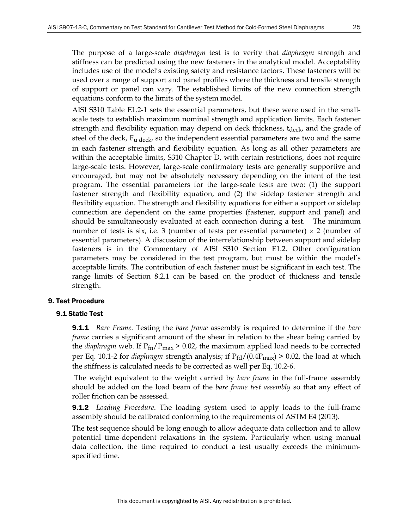The purpose of a large-scale *diaphragm* test is to verify that *diaphragm* strength and stiffness can be predicted using the new fasteners in the analytical model. Acceptability includes use of the model's existing safety and resistance factors. These fasteners will be used over a range of support and panel profiles where the thickness and tensile strength of support or panel can vary. The established limits of the new connection strength equations conform to the limits of the system model.

AISI S310 Table E1.2-1 sets the essential parameters, but these were used in the smallscale tests to establish maximum nominal strength and application limits. Each fastener strength and flexibility equation may depend on deck thickness, t<sub>deck</sub>, and the grade of steel of the deck,  $F_u$  <sub>deck</sub>, so the independent essential parameters are two and the same in each fastener strength and flexibility equation. As long as all other parameters are within the acceptable limits, S310 Chapter D, with certain restrictions, does not require large-scale tests. However, large-scale confirmatory tests are generally supportive and encouraged, but may not be absolutely necessary depending on the intent of the test program. The essential parameters for the large-scale tests are two: (1) the support fastener strength and flexibility equation, and (2) the sidelap fastener strength and flexibility equation. The strength and flexibility equations for either a support or sidelap connection are dependent on the same properties (fastener, support and panel) and should be simultaneously evaluated at each connection during a test. The minimum number of tests is six, i.e. 3 (number of tests per essential parameter)  $\times$  2 (number of essential parameters). A discussion of the interrelationship between support and sidelap fasteners is in the Commentary of AISI S310 Section E1.2. Other configuration parameters may be considered in the test program, but must be within the model's acceptable limits. The contribution of each fastener must be significant in each test. The range limits of Section 8.2.1 can be based on the product of thickness and tensile strength.

#### 9. Test Procedure

#### 9.1 Static Test

9.1.1 *Bare Frame*. Testing the *bare frame* assembly is required to determine if the *bare frame* carries a significant amount of the shear in relation to the shear being carried by the *diaphragm* web. If  $P_{fn}/P_{max} > 0.02$ , the maximum applied load needs to be corrected per Eq. 10.1-2 for *diaphragm* strength analysis; if  $P_{\text{fd}}/(0.4P_{\text{max}}) > 0.02$ , the load at which the stiffness is calculated needs to be corrected as well per Eq. 10.2-6.

 The weight equivalent to the weight carried by *bare frame* in the full-frame assembly should be added on the load beam of the *bare frame test assembly* so that any effect of roller friction can be assessed.

9.1.2 *Loading Procedure*. The loading system used to apply loads to the full-frame assembly should be calibrated conforming to the requirements of ASTM E4 (2013)*.*

The test sequence should be long enough to allow adequate data collection and to allow potential time-dependent relaxations in the system. Particularly when using manual data collection, the time required to conduct a test usually exceeds the minimumspecified time.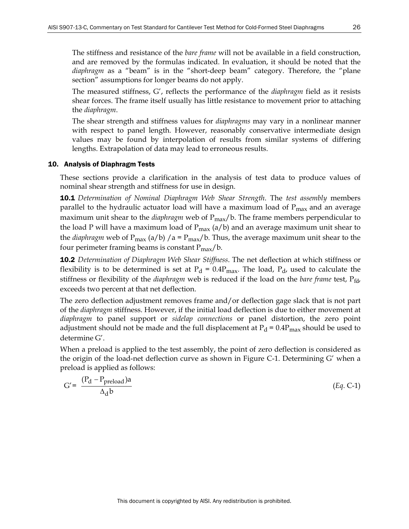The stiffness and resistance of the *bare frame* will not be available in a field construction, and are removed by the formulas indicated. In evaluation, it should be noted that the *diaphragm* as a "beam" is in the "short-deep beam" category. Therefore, the "plane section" assumptions for longer beams do not apply.

The measured stiffness, G', reflects the performance of the *diaphragm* field as it resists shear forces. The frame itself usually has little resistance to movement prior to attaching the *diaphragm*.

The shear strength and stiffness values for *diaphragms* may vary in a nonlinear manner with respect to panel length. However, reasonably conservative intermediate design values may be found by interpolation of results from similar systems of differing lengths. Extrapolation of data may lead to erroneous results.

#### 10. Analysis of Diaphragm Tests

These sections provide a clarification in the analysis of test data to produce values of nominal shear strength and stiffness for use in design.

10.1 *Determination of Nominal Diaphragm Web Shear Strength*. The *test assembly* members parallel to the hydraulic actuator load will have a maximum load of  $P_{\text{max}}$  and an average maximum unit shear to the *diaphragm* web of P<sub>max</sub>/b. The frame members perpendicular to the load P will have a maximum load of  $P_{max}$  (a/b) and an average maximum unit shear to the *diaphragm* web of  $P_{max}$  (a/b) / a =  $P_{max}$ /b. Thus, the average maximum unit shear to the four perimeter framing beams is constant  $P_{max}/b$ .

10.2 *Determination of Diaphragm Web Shear Stiffness*. The net deflection at which stiffness or flexibility is to be determined is set at  $P_d = 0.4P_{max}$ . The load,  $P_d$ , used to calculate the stiffness or flexibility of the *diaphragm* web is reduced if the load on the *bare frame* test, Pfd, exceeds two percent at that net deflection.

The zero deflection adjustment removes frame and/or deflection gage slack that is not part of the *diaphragm* stiffness. However, if the initial load deflection is due to either movement at *diaphragm* to panel support or *sidelap connections* or panel distortion, the zero point adjustment should not be made and the full displacement at  $P_d = 0.4P_{max}$  should be used to determine G'.

When a preload is applied to the test assembly, the point of zero deflection is considered as the origin of the load-net deflection curve as shown in Figure C-1. Determining G' when a preload is applied as follows:

$$
G' = \frac{(P_d - P_{preload})a}{\Delta_d b}
$$
 (Eq. C-1)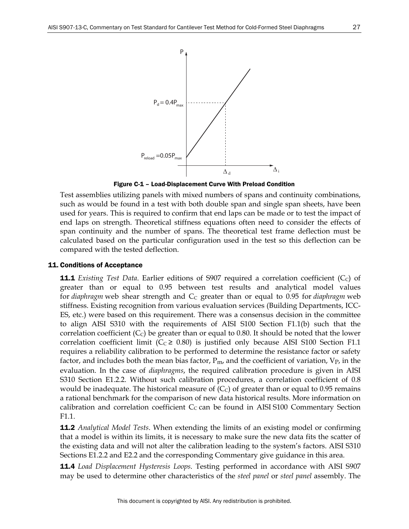

Figure C-1 – Load-Displacement Curve With Preload Condition

Test assemblies utilizing panels with mixed numbers of spans and continuity combinations, such as would be found in a test with both double span and single span sheets, have been used for years. This is required to confirm that end laps can be made or to test the impact of end laps on strength. Theoretical stiffness equations often need to consider the effects of span continuity and the number of spans. The theoretical test frame deflection must be calculated based on the particular configuration used in the test so this deflection can be compared with the tested deflection.

### 11. Conditions of Acceptance

**11.1** *Existing Test Data*. Earlier editions of S907 required a correlation coefficient (C<sub>C</sub>) of greater than or equal to 0.95 between test results and analytical model values for *diaphragm* web shear strength and C<sub>C</sub> greater than or equal to 0.95 for *diaphragm* web stiffness. Existing recognition from various evaluation services (Building Departments, ICC-ES, etc.) were based on this requirement. There was a consensus decision in the committee to align AISI S310 with the requirements of AISI S100 Section F1.1(b) such that the correlation coefficient  $(C<sub>C</sub>)$  be greater than or equal to 0.80. It should be noted that the lower correlation coefficient limit ( $C_c \geq 0.80$ ) is justified only because AISI S100 Section F1.1 requires a reliability calibration to be performed to determine the resistance factor or safety factor, and includes both the mean bias factor,  $P_{\text{mv}}$  and the coefficient of variation,  $V_P$ , in the evaluation. In the case of *diaphragms*, the required calibration procedure is given in AISI S310 Section E1.2.2. Without such calibration procedures, a correlation coefficient of 0.8 would be inadequate. The historical measure of  $(C<sub>C</sub>)$  of greater than or equal to 0.95 remains a rational benchmark for the comparison of new data historical results. More information on calibration and correlation coefficient  $C<sub>C</sub>$  can be found in AISI S100 Commentary Section F1.1.

11.2 *Analytical Model Tests*. When extending the limits of an existing model or confirming that a model is within its limits, it is necessary to make sure the new data fits the scatter of the existing data and will not alter the calibration leading to the system's factors. AISI S310 Sections E1.2.2 and E2.2 and the corresponding Commentary give guidance in this area.

11.4 *Load Displacement Hysteresis Loops*. Testing performed in accordance with AISI S907 may be used to determine other characteristics of the *steel panel* or *steel panel* assembly. The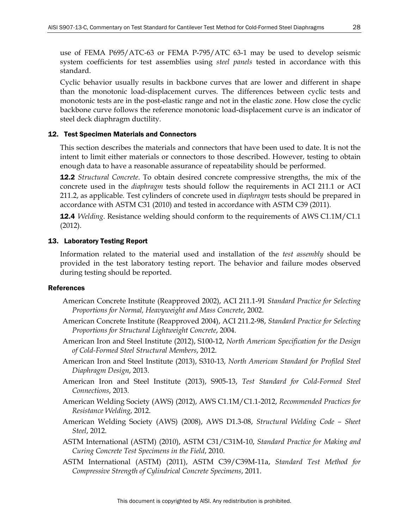use of FEMA P695/ATC-63 or FEMA P-795/ATC 63-1 may be used to develop seismic system coefficients for test assemblies using *steel panels* tested in accordance with this standard.

Cyclic behavior usually results in backbone curves that are lower and different in shape than the monotonic load-displacement curves. The differences between cyclic tests and monotonic tests are in the post-elastic range and not in the elastic zone. How close the cyclic backbone curve follows the reference monotonic load-displacement curve is an indicator of steel deck diaphragm ductility.

# 12. Test Specimen Materials and Connectors

This section describes the materials and connectors that have been used to date. It is not the intent to limit either materials or connectors to those described. However, testing to obtain enough data to have a reasonable assurance of repeatability should be performed.

12.2 *Structural Concrete*. To obtain desired concrete compressive strengths, the mix of the concrete used in the *diaphragm* tests should follow the requirements in ACI 211.1 or ACI 211.2, as applicable*.* Test cylinders of concrete used in *diaphragm* tests should be prepared in accordance with ASTM C31 (2010) and tested in accordance with ASTM C39 (2011)*.* 

12.4 *Welding*. Resistance welding should conform to the requirements of AWS C1.1M/C1.1 (2012).

# 13. Laboratory Testing Report

Information related to the material used and installation of the *test assembly* should be provided in the test laboratory testing report. The behavior and failure modes observed during testing should be reported.

# References

- American Concrete Institute (Reapproved 2002), ACI 211.1-91 *Standard Practice for Selecting Proportions for Normal, Heavyweight and Mass Concrete*, 2002.
- American Concrete Institute (Reapproved 2004), ACI 211.2-98, *Standard Practice for Selecting Proportions for Structural Lightweight Concrete*, 2004.
- American Iron and Steel Institute (2012), S100-12, *North American Specification for the Design of Cold-Formed Steel Structural Members*, 2012.
- American Iron and Steel Institute (2013), S310-13, *North American Standard for Profiled Steel Diaphragm Design*, 2013.
- American Iron and Steel Institute (2013), S905-13, *Test Standard for Cold-Formed Steel Connections*, 2013*.*
- American Welding Society (AWS) (2012), AWS C1.1M/C1.1-2012, *Recommended Practices for Resistance Welding*, 2012.
- American Welding Society (AWS) (2008), AWS D1.3-08, *Structural Welding Code Sheet Steel*, 2012.
- ASTM International (ASTM) (2010), ASTM C31/C31M-10, *Standard Practice for Making and Curing Concrete Test Specimens in the Field*, 2010.
- ASTM International (ASTM) (2011), ASTM C39/C39M-11a, *Standard Test Method for Compressive Strength of Cylindrical Concrete Specimens*, 2011.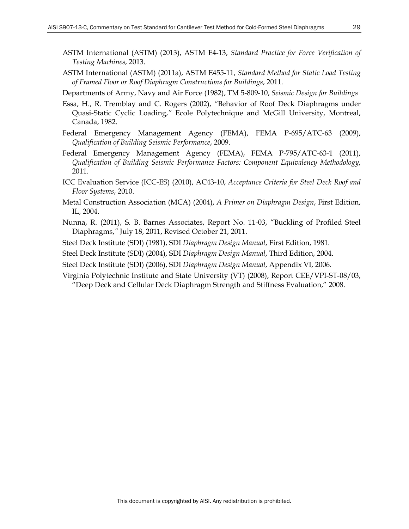- ASTM International (ASTM) (2013), ASTM E4-13, *Standard Practice for Force Verification of Testing Machines*, 2013.
- ASTM International (ASTM) (2011a), ASTM E455-11, *Standard Method for Static Load Testing of Framed Floor or Roof Diaphragm Constructions for Buildings*, 2011.
- Departments of Army, Navy and Air Force (1982), TM 5-809-10, *Seismic Design for Buildings*
- Essa, H., R. Tremblay and C. Rogers (2002), *"*Behavior of Roof Deck Diaphragms under Quasi-Static Cyclic Loading,*"* Ecole Polytechnique and McGill University, Montreal, Canada, 1982.
- Federal Emergency Management Agency (FEMA), FEMA P-695/ATC-63 (2009), *Qualification of Building Seismic Performance*, 2009.
- Federal Emergency Management Agency (FEMA), FEMA P-795/ATC-63-1 (2011), *Qualification of Building Seismic Performance Factors: Component Equivalency Methodology*, 2011.
- ICC Evaluation Service (ICC-ES) (2010), AC43-10, *Acceptance Criteria for Steel Deck Roof and Floor Systems*, 2010.
- Metal Construction Association (MCA) (2004), *A Primer on Diaphragm Design*, First Edition, IL, 2004.
- Nunna, R. (2011), S. B. Barnes Associates, Report No. 11-03, "Buckling of Profiled Steel Diaphragms,*"* July 18, 2011, Revised October 21, 2011.
- Steel Deck Institute (SDI) (1981), SDI *Diaphragm Design Manual*, First Edition, 1981.
- Steel Deck Institute (SDI) (2004), SDI *Diaphragm Design Manual*, Third Edition, 2004.
- Steel Deck Institute (SDI) (2006), SDI *Diaphragm Design Manual*, Appendix VI, 2006.
- Virginia Polytechnic Institute and State University (VT) (2008), Report CEE/VPI-ST-08/03, "Deep Deck and Cellular Deck Diaphragm Strength and Stiffness Evaluation," 2008.